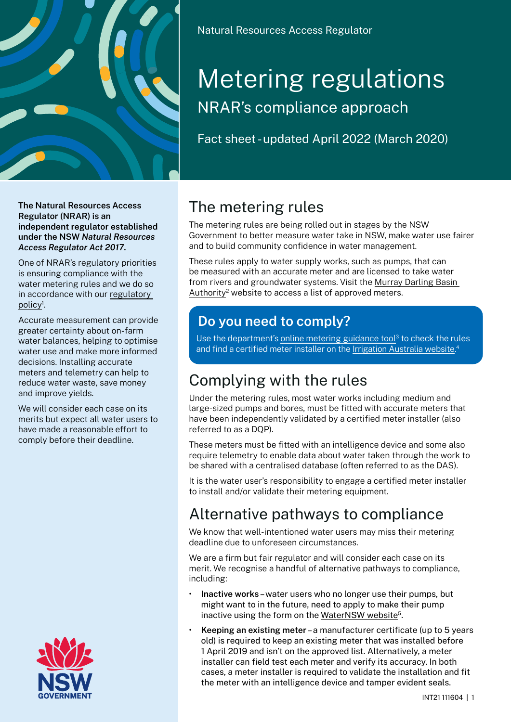

**The Natural Resources Access Regulator (NRAR) is an independent regulator established under the NSW** *Natural Resources Access Regulator Act 2017***.**

One of NRAR's regulatory priorities is ensuring compliance with the water metering rules and we do so in accordance with our [regulatory](http://www.nrar.nsw.gov.au/about-us/who-we-are/our-policies-and-guidelines)  policy<sup>1</sup>.

Accurate measurement can provide greater certainty about on-farm water balances, helping to optimise water use and make more informed decisions. Installing accurate meters and telemetry can help to reduce water waste, save money and improve yields.

We will consider each case on its merits but expect all water users to have made a reasonable effort to comply before their deadline.



Natural Resources Access Regulator

# Metering regulations NRAR's compliance approach

Fact sheet - updated April 2022 (March 2020)

# The metering rules

The metering rules are being rolled out in stages by the NSW Government to better measure water take in NSW, make water use fairer and to build community confidence in water management.

These rules apply to water supply works, such as pumps, that can be measured with an accurate meter and are licensed to take water from rivers and groundwater systems. Visit the [Murray Darling Basin](https://www.mdba.gov.au/media/mr/accurate-metering-measure-confidence-murray-darling-water-use)  [Authority](https://www.mdba.gov.au/media/mr/accurate-metering-measure-confidence-murray-darling-water-use)<sup>2</sup> website to access a list of approved meters.

#### **Do you need to comply?**

Use the department's online [metering guidance tool](https://nswdpie.tfaforms.net/182)<sup>3</sup> to check the rules and find a certified meter installer on the <u>[Irrigation Australia website.](https://www.irrigationaustralia.com.au/Shared_Content/Profiles/Member-Directory/Member-Directory.aspx?WebsiteKey=96a9de9c-1b53-473f-a609-5dc886ae7f8f&hkey=48a1e243-801d-45b4-89ca-d0d358806e0d&eb116e1c3432=3#eb116e1c3432)</u>4

# Complying with the rules

Under the metering rules, most water works including medium and large-sized pumps and bores, must be fitted with accurate meters that have been independently validated by a certified meter installer (also referred to as a DQP).

These meters must be fitted with an intelligence device and some also require telemetry to enable data about water taken through the work to be shared with a centralised database (often referred to as the DAS).

It is the water user's responsibility to engage a certified meter installer to install and/or validate their metering equipment.

## Alternative pathways to compliance

We know that well-intentioned water users may miss their metering deadline due to unforeseen circumstances.

We are a firm but fair regulator and will consider each case on its merit. We recognise a handful of alternative pathways to compliance, including:

- **Inactive works**–water users who no longer use their pumps, but might want to in the future, need to apply to make their pump inactive using the form on the [WaterNSW](https://www.waternsw.com.au/customer-service/water-licensing/approvals/amend-an-approval) website<sup>5</sup>.
- **Keeping an existing meter** –a manufacturer certificate (up to 5 years old) is required to keep an existing meter that was installed before 1 April 2019 and isn't on the approved list. Alternatively, a meter installer can field test each meter and verify its accuracy. In both cases, a meter installer is required to validate the installation and fit the meter with an intelligence device and tamper evident seals.